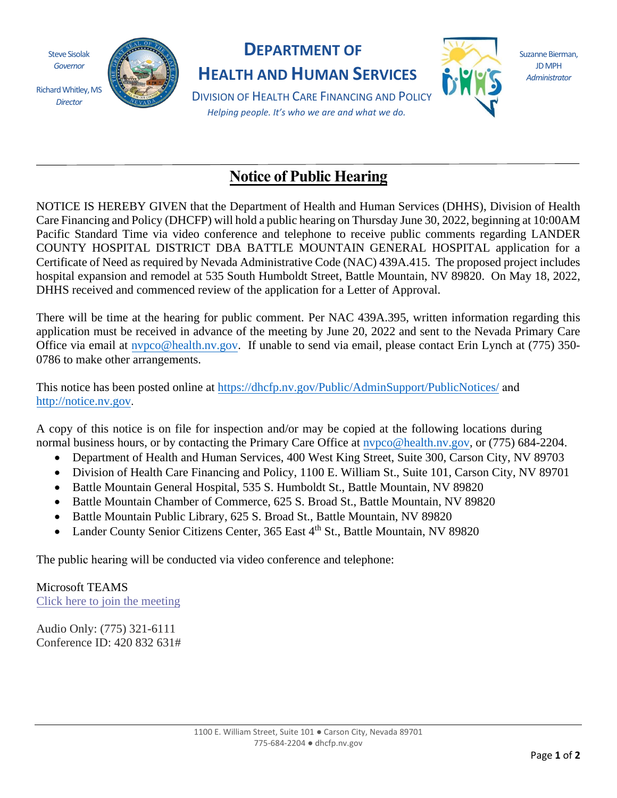Steve Sisolak *Governor* 

*Director*



## **DEPARTMENT OF**

**HEALTH AND HUMAN SERVICES**



Suzanne Bierman, JD MPH *Administrator*

DIVISION OF HEALTH CARE FINANCING AND POLICY *Helping people. It's who we are and what we do.*

## **Notice of Public Hearing**

NOTICE IS HEREBY GIVEN that the Department of Health and Human Services (DHHS), Division of Health Care Financing and Policy (DHCFP) will hold a public hearing on Thursday June 30, 2022, beginning at 10:00AM Pacific Standard Time via video conference and telephone to receive public comments regarding LANDER COUNTY HOSPITAL DISTRICT DBA BATTLE MOUNTAIN GENERAL HOSPITAL application for a Certificate of Need as required by Nevada Administrative Code (NAC) 439A.415. The proposed project includes hospital expansion and remodel at 535 South Humboldt Street, Battle Mountain, NV 89820. On May 18, 2022, DHHS received and commenced review of the application for a Letter of Approval.

There will be time at the hearing for public comment. Per NAC 439A.395, written information regarding this application must be received in advance of the meeting by June 20, 2022 and sent to the Nevada Primary Care Office via email at [nvpco@health.nv.gov.](mailto:nvpco@health.nv.gov) If unable to send via email, please contact Erin Lynch at (775) 350- 0786 to make other arrangements.

This notice has been posted online at <https://dhcfp.nv.gov/Public/AdminSupport/PublicNotices/> and [http://notice.nv.gov](http://notice.nv.gov/).

A copy of this notice is on file for inspection and/or may be copied at the following locations during normal business hours, or by contacting the Primary Care Office at nypco@health.nv.gov, or (775) 684-2204.

- Department of Health and Human Services, 400 West King Street, Suite 300, Carson City, NV 89703
- Division of Health Care Financing and Policy, 1100 E. William St., Suite 101, Carson City, NV 89701
- Battle Mountain General Hospital, 535 S. Humboldt St., Battle Mountain, NV 89820
- Battle Mountain Chamber of Commerce, 625 S. Broad St., Battle Mountain, NV 89820
- Battle Mountain Public Library, 625 S. Broad St., Battle Mountain, NV 89820
- Lander County Senior Citizens Center, 365 East 4<sup>th</sup> St., Battle Mountain, NV 89820

The public hearing will be conducted via video conference and telephone:

Microsoft TEAMS [Click here to join the meeting](https://teams.microsoft.com/l/meetup-join/19%3ameeting_OTk4ODZmYzYtNjVjMy00OTk5LWExYjAtNzZlZDJhZmQyMjZh%40thread.v2/0?context=%7b%22Tid%22%3a%22e4a340e6-b89e-4e68-8eaa-1544d2703980%22%2c%22Oid%22%3a%22ed17f770-c119-4504-b6f3-3095ac13d585%22%7d)

Audio Only: (775) 321-6111 Conference ID: 420 832 631#